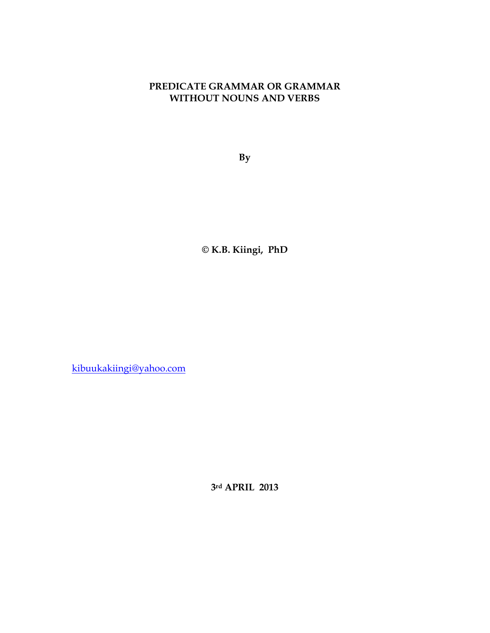## **PREDICATE GRAMMAR OR GRAMMAR WITHOUT NOUNS AND VERBS**

**By** 

**© K.B. Kiingi, PhD** 

kibuukakiingi@yahoo.com

**3rd APRIL 2013**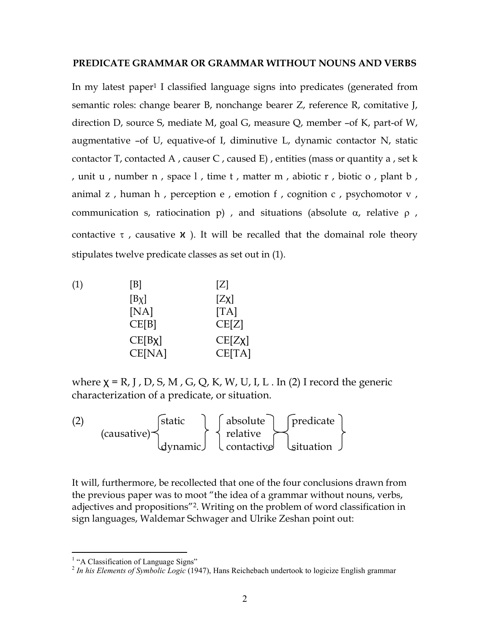## **PREDICATE GRAMMAR OR GRAMMAR WITHOUT NOUNS AND VERBS**

In my latest paper<sup>1</sup> I classified language signs into predicates (generated from semantic roles: change bearer B, nonchange bearer Z, reference R, comitative J, direction D, source S, mediate M, goal G, measure Q, member –of K, part-of W, augmentative –of U, equative-of I, diminutive L, dynamic contactor N, static contactor T, contacted A, causer C, caused E), entities (mass or quantity a, set k , unit u , number n , space l , time t , matter m , abiotic r , biotic o , plant b , animal z, human h, perception e, emotion f, cognition  $c$ , psychomotor  $v$ , communication s, ratiocination p) , and situations (absolute α, relative ρ , contactive  $\tau$ , causative  $\chi$  ). It will be recalled that the domainal role theory stipulates twelve predicate classes as set out in (1).

| (1) | [B]          | [Z]    |
|-----|--------------|--------|
|     | $[B\chi]$    | [Zx]   |
|     | [NA]         | [TA]   |
|     | CE[B]        | CE[Z]  |
|     | $CE[B \chi]$ | CE[Zx] |
|     | CE[NA]       | CE[TA] |

where  $\chi$  = R, J, D, S, M, G, Q, K, W, U, I, L. In (2) I record the generic characterization of a predicate, or situation.

(2)  $\left|\right|$  static  $\left|\right|$  absolute  $\left|\right|$  predicate (causative)  $\uparrow$   $\uparrow$  relative dynamic) let contactive laituation

It will, furthermore, be recollected that one of the four conclusions drawn from the previous paper was to moot "the idea of a grammar without nouns, verbs, adjectives and propositions"<sup>2</sup>. Writing on the problem of word classification in sign languages, Waldemar Schwager and Ulrike Zeshan point out:

<sup>&</sup>lt;sup>1</sup> "A Classification of Language Signs"

<sup>2</sup> *In his Elements of Symbolic Logic* (1947), Hans Reichebach undertook to logicize English grammar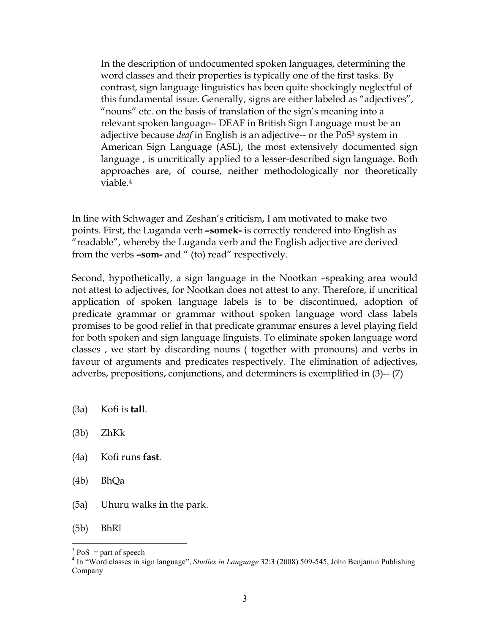In the description of undocumented spoken languages, determining the word classes and their properties is typically one of the first tasks. By contrast, sign language linguistics has been quite shockingly neglectful of this fundamental issue. Generally, signs are either labeled as "adjectives", "nouns" etc. on the basis of translation of the sign's meaning into a relevant spoken language-- DEAF in British Sign Language must be an adjective because *deaf* in English is an adjective-- or the PoS<sup>3</sup> system in American Sign Language (ASL), the most extensively documented sign language , is uncritically applied to a lesser-described sign language. Both approaches are, of course, neither methodologically nor theoretically viable.<sup>4</sup>

In line with Schwager and Zeshan's criticism, I am motivated to make two points. First, the Luganda verb **–somek-** is correctly rendered into English as "readable", whereby the Luganda verb and the English adjective are derived from the verbs **–som-** and " (to) read" respectively.

Second, hypothetically, a sign language in the Nootkan –speaking area would not attest to adjectives, for Nootkan does not attest to any. Therefore, if uncritical application of spoken language labels is to be discontinued, adoption of predicate grammar or grammar without spoken language word class labels promises to be good relief in that predicate grammar ensures a level playing field for both spoken and sign language linguists. To eliminate spoken language word classes , we start by discarding nouns ( together with pronouns) and verbs in favour of arguments and predicates respectively. The elimination of adjectives, adverbs, prepositions, conjunctions, and determiners is exemplified in (3)-- (7)

- (3a) Kofi is **tall**.
- (3b) ZhKk
- (4a) Kofi runs **fast**.
- (4b) BhQa
- (5a) Uhuru walks **in** the park.

(5b) BhRl

<u>.</u>

 $3 \text{ PoS}$  = part of speech

<sup>4</sup> In "Word classes in sign language", *Studies in Language* 32:3 (2008) 509-545, John Benjamin Publishing Company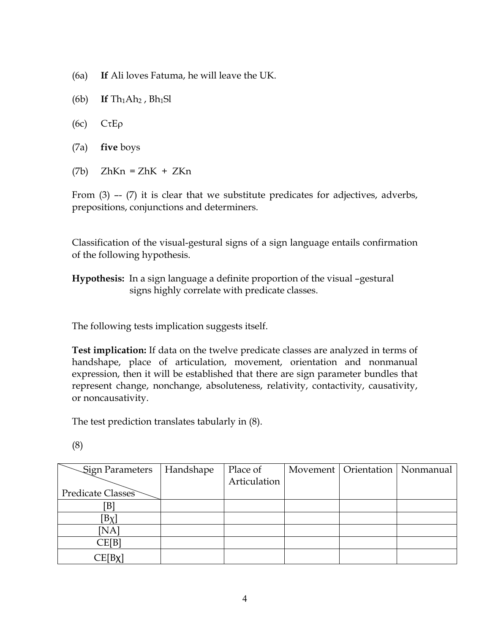- (6a) **If** Ali loves Fatuma, he will leave the UK.
- (6b) **If**  $\text{Th}_1\text{Ah}_2$ ,  $\text{Bh}_1\text{Sl}$
- (6c) CτEρ
- (7a) **five** boys
- $(7b)$  ZhKn = ZhK + ZKn

From (3) –- (7) it is clear that we substitute predicates for adjectives, adverbs, prepositions, conjunctions and determiners.

Classification of the visual-gestural signs of a sign language entails confirmation of the following hypothesis.

**Hypothesis:** In a sign language a definite proportion of the visual –gestural signs highly correlate with predicate classes.

The following tests implication suggests itself.

**Test implication:** If data on the twelve predicate classes are analyzed in terms of handshape, place of articulation, movement, orientation and nonmanual expression, then it will be established that there are sign parameter bundles that represent change, nonchange, absoluteness, relativity, contactivity, causativity, or noncausativity.

The test prediction translates tabularly in (8).

(8)

| Sign Parameters         | Handshape | Place of     | Movement   Orientation   Nonmanual |  |
|-------------------------|-----------|--------------|------------------------------------|--|
|                         |           | Articulation |                                    |  |
| Predicate Classes       |           |              |                                    |  |
| [B]                     |           |              |                                    |  |
| $[B\chi]$               |           |              |                                    |  |
| [NA]                    |           |              |                                    |  |
| CE[B]                   |           |              |                                    |  |
| $\mathbb{E}[\text{Bx}]$ |           |              |                                    |  |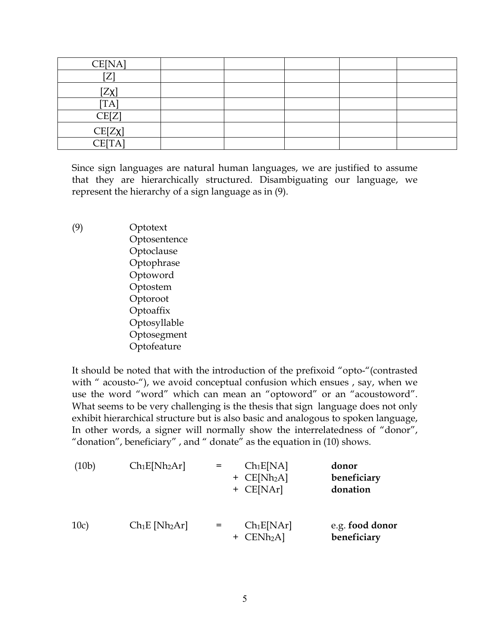| CE[NA]            |  |  |  |
|-------------------|--|--|--|
| $F \rightarrow 1$ |  |  |  |
| $[Z\chi]$         |  |  |  |
| TA                |  |  |  |
| CE[Z]             |  |  |  |
| CE[Zx]            |  |  |  |
| <b>CE[TA]</b>     |  |  |  |

Since sign languages are natural human languages, we are justified to assume that they are hierarchically structured. Disambiguating our language, we represent the hierarchy of a sign language as in (9).

(9) Optotext Optosentence Optoclause Optophrase Optoword Optostem Optoroot **Optoaffix**  Optosyllable Optosegment Optofeature

It should be noted that with the introduction of the prefixoid "opto-"(contrasted with " acousto-"), we avoid conceptual confusion which ensues, say, when we use the word "word" which can mean an "optoword" or an "acoustoword". What seems to be very challenging is the thesis that sign language does not only exhibit hierarchical structure but is also basic and analogous to spoken language, In other words, a signer will normally show the interrelatedness of "donor", "donation", beneficiary" , and " donate" as the equation in (10) shows.

(10b) 
$$
Ch_1E[Nh_2Ar]
$$
 =  $Ch_1E[NA]$  donor  
+  $CE[Nh_2A]$  benefits  
+  $CE[NAr]$  domain  
10c)  $Ch_1E[Nh_2Ar]$  =  $Ch_1E[NAr]$  e.g. food donor  
+  $CENh_2A$  )  
beneficiency